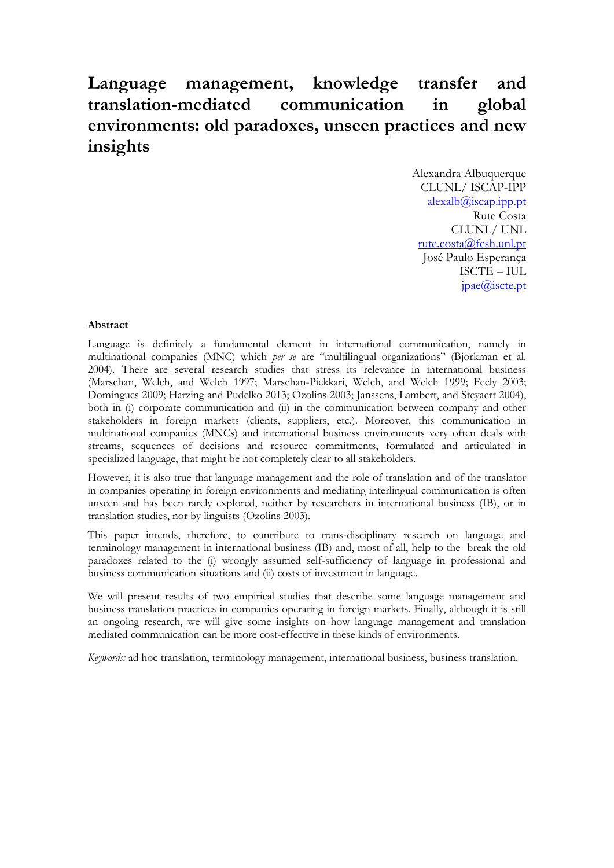# **Language management, knowledge transfer and translation-mediated communication in global environments: old paradoxes, unseen practices and new insights**

Alexandra Albuquerque CLUNL/ ISCAP-IPP [alexalb@iscap.ipp.pt](mailto:alexalb@iscap.ipp.pt) Rute Costa CLUNL/ UNL rute.costa@fcsh.unl.pt José Paulo Esperança ISCTE – IUL jpae@iscte.pt

#### **Abstract**

Language is definitely a fundamental element in international communication, namely in multinational companies (MNC) which *per se* are "multilingual organizations" (Bjorkman et al. 2004). There are several research studies that stress its relevance in international business (Marschan, Welch, and Welch 1997; Marschan-Piekkari, Welch, and Welch 1999; Feely 2003; Domingues 2009; Harzing and Pudelko 2013; Ozolins 2003; Janssens, Lambert, and Steyaert 2004), both in (i) corporate communication and (ii) in the communication between company and other stakeholders in foreign markets (clients, suppliers, etc.). Moreover, this communication in multinational companies (MNCs) and international business environments very often deals with streams, sequences of decisions and resource commitments, formulated and articulated in specialized language, that might be not completely clear to all stakeholders.

However, it is also true that language management and the role of translation and of the translator in companies operating in foreign environments and mediating interlingual communication is often unseen and has been rarely explored, neither by researchers in international business (IB), or in translation studies, nor by linguists (Ozolins 2003).

This paper intends, therefore, to contribute to trans-disciplinary research on language and terminology management in international business (IB) and, most of all, help to the break the old paradoxes related to the (i) wrongly assumed self-sufficiency of language in professional and business communication situations and (ii) costs of investment in language.

We will present results of two empirical studies that describe some language management and business translation practices in companies operating in foreign markets. Finally, although it is still an ongoing research, we will give some insights on how language management and translation mediated communication can be more cost-effective in these kinds of environments.

*Keywords:* ad hoc translation, terminology management, international business, business translation.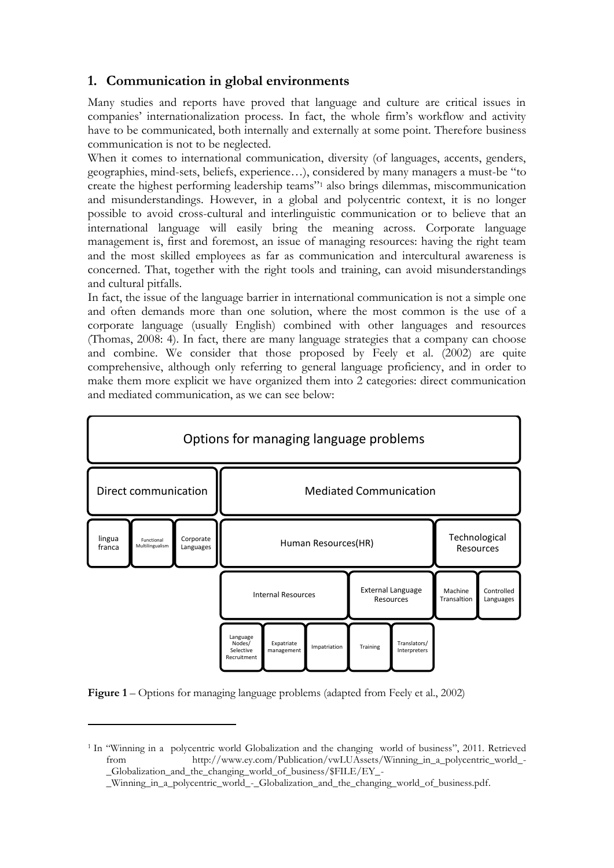# **1. Communication in global environments**

Many studies and reports have proved that language and culture are critical issues in companies' internationalization process. In fact, the whole firm's workflow and activity have to be communicated, both internally and externally at some point. Therefore business communication is not to be neglected.

When it comes to international communication, diversity (of languages, accents, genders, geographies, mind-sets, beliefs, experience…), considered by many managers a must-be "to create the highest performing leadership teams"<sup>1</sup> also brings dilemmas, miscommunication and misunderstandings. However, in a global and polycentric context, it is no longer possible to avoid cross-cultural and interlinguistic communication or to believe that an international language will easily bring the meaning across. Corporate language management is, first and foremost, an issue of managing resources: having the right team and the most skilled employees as far as communication and intercultural awareness is concerned. That, together with the right tools and training, can avoid misunderstandings and cultural pitfalls.

In fact, the issue of the language barrier in international communication is not a simple one and often demands more than one solution, where the most common is the use of a corporate language (usually English) combined with other languages and resources (Thomas, 2008: 4). In fact, there are many language strategies that a company can choose and combine. We consider that those proposed by Feely et al. (2002) are quite comprehensive, although only referring to general language proficiency, and in order to make them more explicit we have organized them into 2 categories: direct communication and mediated communication, as we can see below:



**Figure 1** – Options for managing language problems (adapted from Feely et al., 2002)

 $\overline{a}$ 

<sup>&</sup>lt;sup>1</sup> In "Winning in a polycentric world Globalization and the changing world of business", 2011. Retrieved from http://www.ey.com/Publication/vwLUAssets/Winning\_in\_a\_polycentric\_world\_- \_Globalization\_and\_the\_changing\_world\_of\_business/\$FILE/EY\_-

\_Winning\_in\_a\_polycentric\_world\_-\_Globalization\_and\_the\_changing\_world\_of\_business.pdf.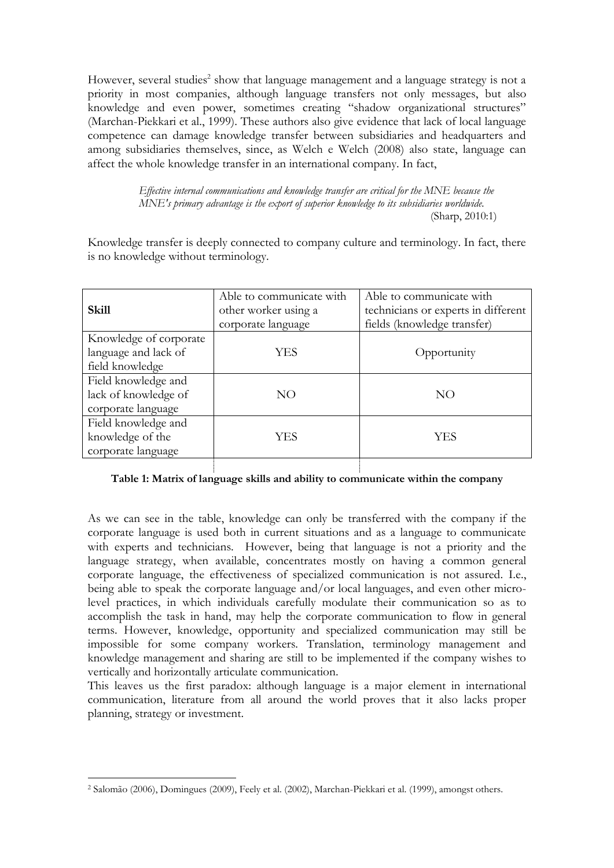However, several studies<sup>2</sup> show that language management and a language strategy is not a priority in most companies, although language transfers not only messages, but also knowledge and even power, sometimes creating "shadow organizational structures" (Marchan-Piekkari et al., 1999). These authors also give evidence that lack of local language competence can damage knowledge transfer between subsidiaries and headquarters and among subsidiaries themselves, since, as Welch e Welch (2008) also state, language can affect the whole knowledge transfer in an international company. In fact,

> *Effective internal communications and knowledge transfer are critical for the MNE because the MNE's primary advantage is the export of superior knowledge to its subsidiaries worldwide.* (Sharp, 2010:1)

Knowledge transfer is deeply connected to company culture and terminology. In fact, there is no knowledge without terminology.

| <b>Skill</b>                                                      | Able to communicate with<br>other worker using a<br>corporate language | Able to communicate with<br>technicians or experts in different<br>fields (knowledge transfer) |
|-------------------------------------------------------------------|------------------------------------------------------------------------|------------------------------------------------------------------------------------------------|
| Knowledge of corporate<br>language and lack of<br>field knowledge | YES                                                                    | Opportunity                                                                                    |
| Field knowledge and<br>lack of knowledge of<br>corporate language | NO                                                                     | NO                                                                                             |
| Field knowledge and<br>knowledge of the<br>corporate language     | YES                                                                    | YES                                                                                            |

### **Table 1: Matrix of language skills and ability to communicate within the company**

As we can see in the table, knowledge can only be transferred with the company if the corporate language is used both in current situations and as a language to communicate with experts and technicians. However, being that language is not a priority and the language strategy, when available, concentrates mostly on having a common general corporate language, the effectiveness of specialized communication is not assured. I.e., being able to speak the corporate language and/or local languages, and even other microlevel practices, in which individuals carefully modulate their communication so as to accomplish the task in hand, may help the corporate communication to flow in general terms. However, knowledge, opportunity and specialized communication may still be impossible for some company workers. Translation, terminology management and knowledge management and sharing are still to be implemented if the company wishes to vertically and horizontally articulate communication.

This leaves us the first paradox: although language is a major element in international communication, literature from all around the world proves that it also lacks proper planning, strategy or investment.

**.** 

<sup>2</sup> Salomão (2006), Domingues (2009), Feely et al. (2002), Marchan-Piekkari et al. (1999), amongst others.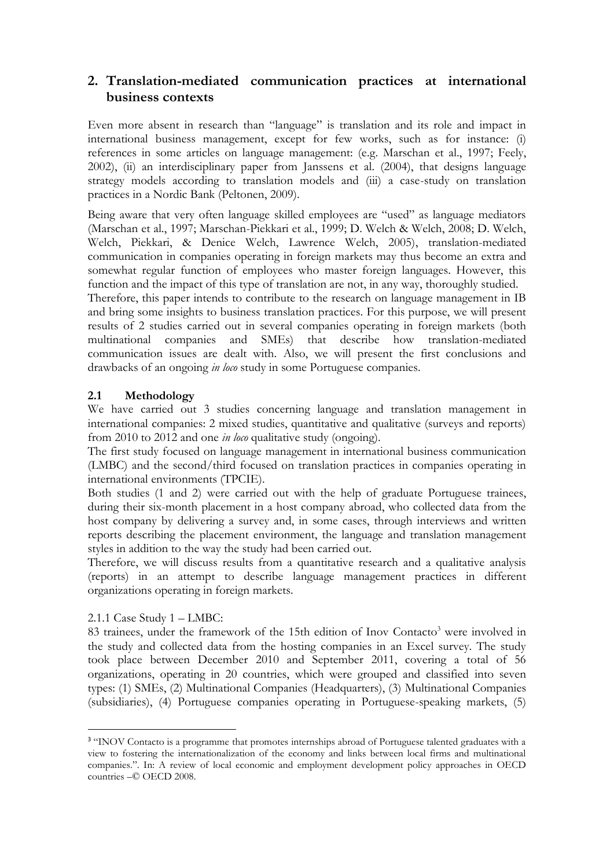# **2. Translation-mediated communication practices at international business contexts**

Even more absent in research than "language" is translation and its role and impact in international business management, except for few works, such as for instance: (i) references in some articles on language management: (e.g. Marschan et al., 1997; Feely, 2002), (ii) an interdisciplinary paper from Janssens et al. (2004), that designs language strategy models according to translation models and (iii) a case-study on translation practices in a Nordic Bank (Peltonen, 2009).

Being aware that very often language skilled employees are "used" as language mediators (Marschan et al., 1997; Marschan-Piekkari et al., 1999; D. Welch & Welch, 2008; D. Welch, Welch, Piekkari, & Denice Welch, Lawrence Welch, 2005), translation-mediated communication in companies operating in foreign markets may thus become an extra and somewhat regular function of employees who master foreign languages. However, this function and the impact of this type of translation are not, in any way, thoroughly studied.

Therefore, this paper intends to contribute to the research on language management in IB and bring some insights to business translation practices. For this purpose, we will present results of 2 studies carried out in several companies operating in foreign markets (both multinational companies and SMEs) that describe how translation-mediated communication issues are dealt with. Also, we will present the first conclusions and drawbacks of an ongoing *in loco* study in some Portuguese companies.

## **2.1 Methodology**

We have carried out 3 studies concerning language and translation management in international companies: 2 mixed studies, quantitative and qualitative (surveys and reports) from 2010 to 2012 and one *in loco* qualitative study (ongoing).

The first study focused on language management in international business communication (LMBC) and the second/third focused on translation practices in companies operating in international environments (TPCIE).

Both studies (1 and 2) were carried out with the help of graduate Portuguese trainees, during their six-month placement in a host company abroad, who collected data from the host company by delivering a survey and, in some cases, through interviews and written reports describing the placement environment, the language and translation management styles in addition to the way the study had been carried out.

Therefore, we will discuss results from a quantitative research and a qualitative analysis (reports) in an attempt to describe language management practices in different organizations operating in foreign markets.

## 2.1.1 Case Study 1 – LMBC:

**.** 

83 trainees, under the framework of the 15th edition of Inov Contacto<sup>3</sup> were involved in the study and collected data from the hosting companies in an Excel survey. The study took place between December 2010 and September 2011, covering a total of 56 organizations, operating in 20 countries, which were grouped and classified into seven types: (1) SMEs, (2) Multinational Companies (Headquarters), (3) Multinational Companies (subsidiaries), (4) Portuguese companies operating in Portuguese-speaking markets, (5)

<sup>&</sup>lt;sup>3</sup> "INOV Contacto is a programme that promotes internships abroad of Portuguese talented graduates with a view to fostering the internationalization of the economy and links between local firms and multinational companies.". In: A review of local economic and employment development policy approaches in OECD countries –© OECD 2008.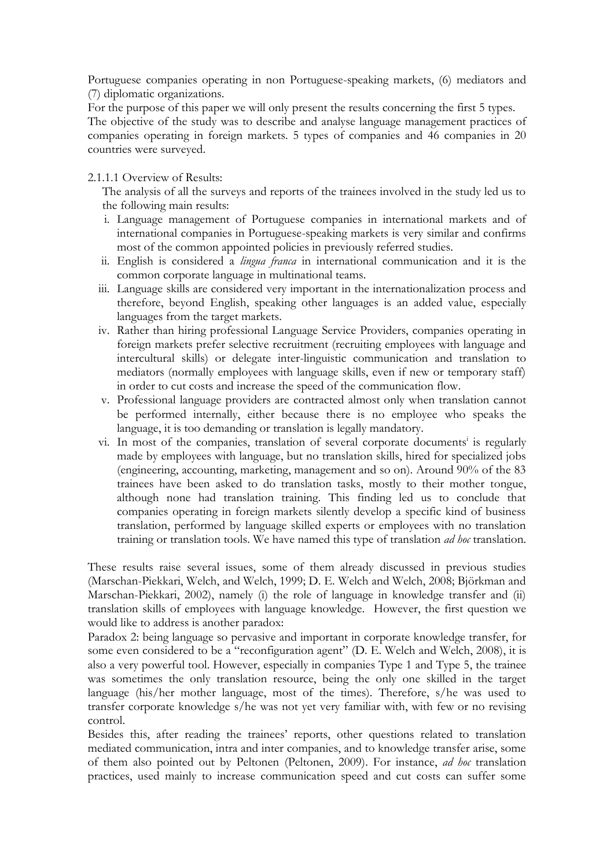Portuguese companies operating in non Portuguese-speaking markets, (6) mediators and (7) diplomatic organizations.

For the purpose of this paper we will only present the results concerning the first 5 types. The objective of the study was to describe and analyse language management practices of companies operating in foreign markets. 5 types of companies and 46 companies in 20 countries were surveyed.

2.1.1.1 Overview of Results:

The analysis of all the surveys and reports of the trainees involved in the study led us to the following main results:

- i. Language management of Portuguese companies in international markets and of international companies in Portuguese-speaking markets is very similar and confirms most of the common appointed policies in previously referred studies.
- ii. English is considered a *lingua franca* in international communication and it is the common corporate language in multinational teams.
- iii. Language skills are considered very important in the internationalization process and therefore, beyond English, speaking other languages is an added value, especially languages from the target markets.
- iv. Rather than hiring professional Language Service Providers, companies operating in foreign markets prefer selective recruitment (recruiting employees with language and intercultural skills) or delegate inter-linguistic communication and translation to mediators (normally employees with language skills, even if new or temporary staff) in order to cut costs and increase the speed of the communication flow.
- v. Professional language providers are contracted almost only when translation cannot be performed internally, either because there is no employee who speaks the language, it is too demanding or translation is legally mandatory.
- vi. In most of the companies, translation of several corporate documents<sup>i</sup> is regularly made by employees with language, but no translation skills, hired for specialized jobs (engineering, accounting, marketing, management and so on). Around 90% of the 83 trainees have been asked to do translation tasks, mostly to their mother tongue, although none had translation training. This finding led us to conclude that companies operating in foreign markets silently develop a specific kind of business translation, performed by language skilled experts or employees with no translation training or translation tools. We have named this type of translation *ad hoc* translation.

These results raise several issues, some of them already discussed in previous studies (Marschan-Piekkari, Welch, and Welch, 1999; D. E. Welch and Welch, 2008; Björkman and Marschan-Piekkari, 2002), namely (i) the role of language in knowledge transfer and (ii) translation skills of employees with language knowledge. However, the first question we would like to address is another paradox:

Paradox 2: being language so pervasive and important in corporate knowledge transfer, for some even considered to be a "reconfiguration agent" (D. E. Welch and Welch, 2008), it is also a very powerful tool. However, especially in companies Type 1 and Type 5, the trainee was sometimes the only translation resource, being the only one skilled in the target language (his/her mother language, most of the times). Therefore, s/he was used to transfer corporate knowledge s/he was not yet very familiar with, with few or no revising control.

Besides this, after reading the trainees' reports, other questions related to translation mediated communication, intra and inter companies, and to knowledge transfer arise, some of them also pointed out by Peltonen (Peltonen, 2009). For instance, *ad hoc* translation practices, used mainly to increase communication speed and cut costs can suffer some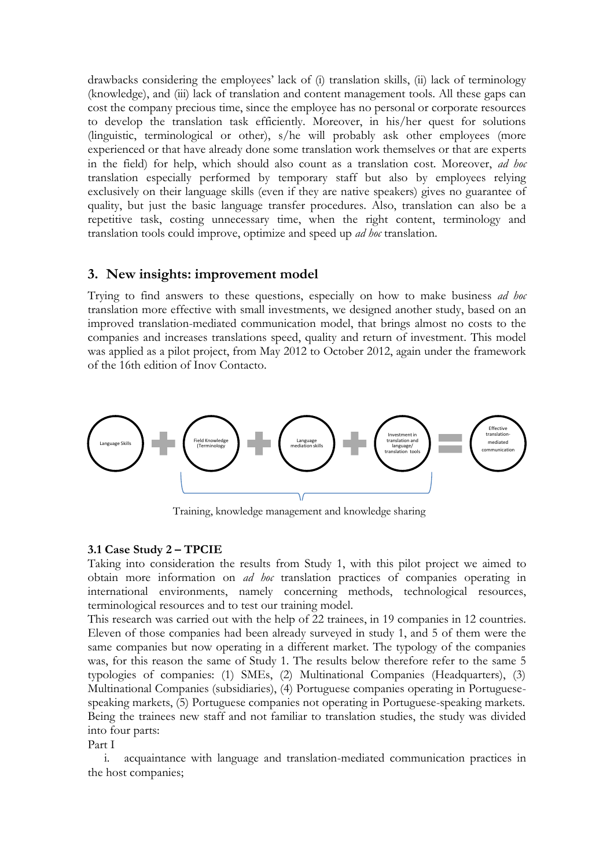drawbacks considering the employees' lack of (i) translation skills, (ii) lack of terminology (knowledge), and (iii) lack of translation and content management tools. All these gaps can cost the company precious time, since the employee has no personal or corporate resources to develop the translation task efficiently. Moreover, in his/her quest for solutions (linguistic, terminological or other), s/he will probably ask other employees (more experienced or that have already done some translation work themselves or that are experts in the field) for help, which should also count as a translation cost. Moreover, *ad hoc* translation especially performed by temporary staff but also by employees relying exclusively on their language skills (even if they are native speakers) gives no guarantee of quality, but just the basic language transfer procedures. Also, translation can also be a repetitive task, costing unnecessary time, when the right content, terminology and translation tools could improve, optimize and speed up *ad hoc* translation.

## **3. New insights: improvement model**

Trying to find answers to these questions, especially on how to make business *ad hoc* translation more effective with small investments, we designed another study, based on an improved translation-mediated communication model, that brings almost no costs to the companies and increases translations speed, quality and return of investment. This model was applied as a pilot project, from May 2012 to October 2012, again under the framework of the 16th edition of Inov Contacto.



Training, knowledge management and knowledge sharing

#### **3.1 Case Study 2 – TPCIE**

Taking into consideration the results from Study 1, with this pilot project we aimed to obtain more information on *ad hoc* translation practices of companies operating in international environments, namely concerning methods, technological resources, terminological resources and to test our training model.

This research was carried out with the help of 22 trainees, in 19 companies in 12 countries. Eleven of those companies had been already surveyed in study 1, and 5 of them were the same companies but now operating in a different market. The typology of the companies was, for this reason the same of Study 1. The results below therefore refer to the same 5 typologies of companies: (1) SMEs, (2) Multinational Companies (Headquarters), (3) Multinational Companies (subsidiaries), (4) Portuguese companies operating in Portuguesespeaking markets, (5) Portuguese companies not operating in Portuguese-speaking markets. Being the trainees new staff and not familiar to translation studies, the study was divided into four parts:

Part I

i. acquaintance with language and translation-mediated communication practices in the host companies;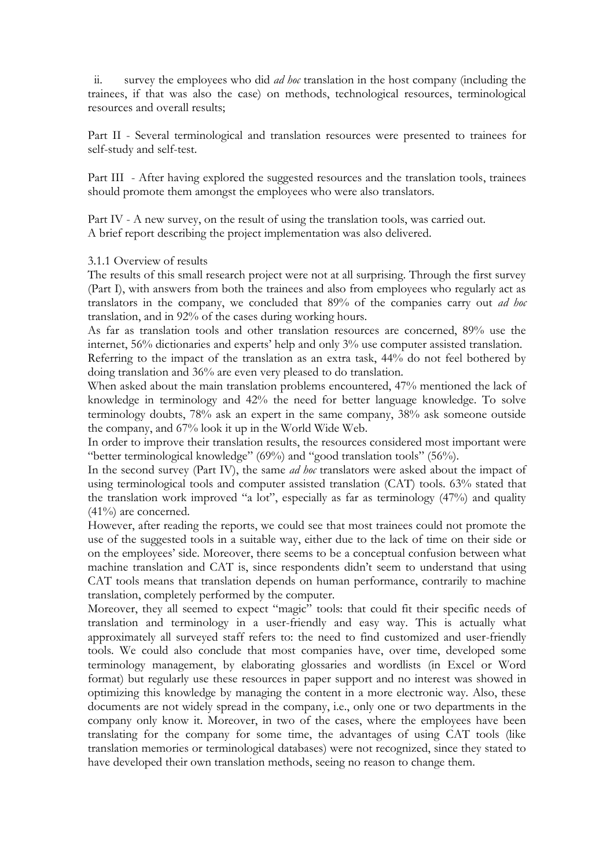ii. survey the employees who did *ad hoc* translation in the host company (including the trainees, if that was also the case) on methods, technological resources, terminological resources and overall results;

Part II - Several terminological and translation resources were presented to trainees for self-study and self-test.

Part III - After having explored the suggested resources and the translation tools, trainees should promote them amongst the employees who were also translators.

Part IV - A new survey, on the result of using the translation tools, was carried out. A brief report describing the project implementation was also delivered.

### 3.1.1 Overview of results

The results of this small research project were not at all surprising. Through the first survey (Part I), with answers from both the trainees and also from employees who regularly act as translators in the company, we concluded that 89% of the companies carry out *ad hoc* translation, and in 92% of the cases during working hours.

As far as translation tools and other translation resources are concerned, 89% use the internet, 56% dictionaries and experts' help and only 3% use computer assisted translation.

Referring to the impact of the translation as an extra task, 44% do not feel bothered by doing translation and 36% are even very pleased to do translation.

When asked about the main translation problems encountered, 47% mentioned the lack of knowledge in terminology and 42% the need for better language knowledge. To solve terminology doubts, 78% ask an expert in the same company, 38% ask someone outside the company, and 67% look it up in the World Wide Web.

In order to improve their translation results, the resources considered most important were "better terminological knowledge" (69%) and "good translation tools" (56%).

In the second survey (Part IV), the same *ad hoc* translators were asked about the impact of using terminological tools and computer assisted translation (CAT) tools. 63% stated that the translation work improved "a lot", especially as far as terminology (47%) and quality (41%) are concerned.

However, after reading the reports, we could see that most trainees could not promote the use of the suggested tools in a suitable way, either due to the lack of time on their side or on the employees' side. Moreover, there seems to be a conceptual confusion between what machine translation and CAT is, since respondents didn't seem to understand that using CAT tools means that translation depends on human performance, contrarily to machine translation, completely performed by the computer.

Moreover, they all seemed to expect "magic" tools: that could fit their specific needs of translation and terminology in a user-friendly and easy way. This is actually what approximately all surveyed staff refers to: the need to find customized and user-friendly tools. We could also conclude that most companies have, over time, developed some terminology management, by elaborating glossaries and wordlists (in Excel or Word format) but regularly use these resources in paper support and no interest was showed in optimizing this knowledge by managing the content in a more electronic way. Also, these documents are not widely spread in the company, i.e., only one or two departments in the company only know it. Moreover, in two of the cases, where the employees have been translating for the company for some time, the advantages of using CAT tools (like translation memories or terminological databases) were not recognized, since they stated to have developed their own translation methods, seeing no reason to change them.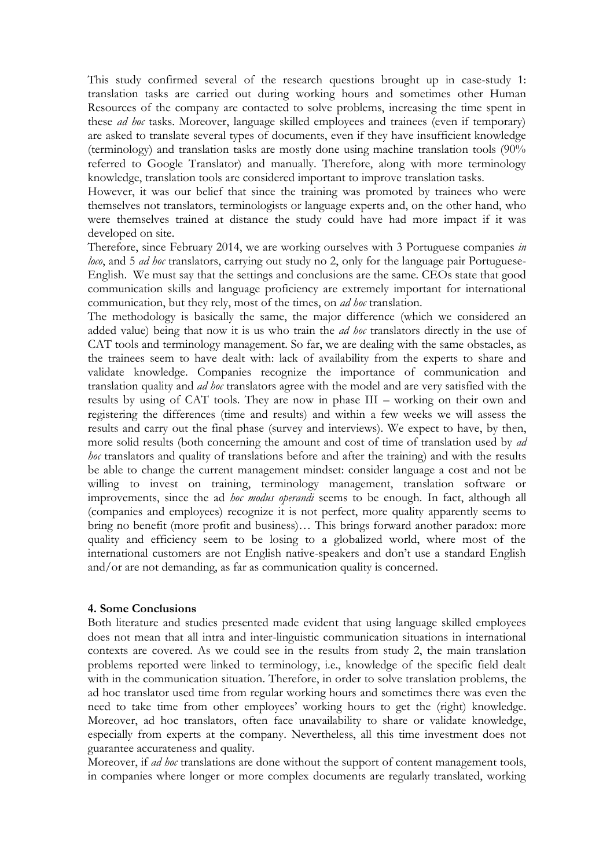This study confirmed several of the research questions brought up in case-study 1: translation tasks are carried out during working hours and sometimes other Human Resources of the company are contacted to solve problems, increasing the time spent in these *ad hoc* tasks. Moreover, language skilled employees and trainees (even if temporary) are asked to translate several types of documents, even if they have insufficient knowledge (terminology) and translation tasks are mostly done using machine translation tools  $(90\%$ referred to Google Translator) and manually. Therefore, along with more terminology knowledge, translation tools are considered important to improve translation tasks.

However, it was our belief that since the training was promoted by trainees who were themselves not translators, terminologists or language experts and, on the other hand, who were themselves trained at distance the study could have had more impact if it was developed on site.

Therefore, since February 2014, we are working ourselves with 3 Portuguese companies *in loco*, and 5 *ad hoc* translators, carrying out study no 2, only for the language pair Portuguese-English. We must say that the settings and conclusions are the same. CEOs state that good communication skills and language proficiency are extremely important for international communication, but they rely, most of the times, on *ad hoc* translation.

The methodology is basically the same, the major difference (which we considered an added value) being that now it is us who train the *ad hoc* translators directly in the use of CAT tools and terminology management. So far, we are dealing with the same obstacles, as the trainees seem to have dealt with: lack of availability from the experts to share and validate knowledge. Companies recognize the importance of communication and translation quality and *ad hoc* translators agree with the model and are very satisfied with the results by using of CAT tools. They are now in phase III – working on their own and registering the differences (time and results) and within a few weeks we will assess the results and carry out the final phase (survey and interviews). We expect to have, by then, more solid results (both concerning the amount and cost of time of translation used by *ad hoc* translators and quality of translations before and after the training) and with the results be able to change the current management mindset: consider language a cost and not be willing to invest on training, terminology management, translation software or improvements, since the ad *hoc modus operandi* seems to be enough. In fact, although all (companies and employees) recognize it is not perfect, more quality apparently seems to bring no benefit (more profit and business)… This brings forward another paradox: more quality and efficiency seem to be losing to a globalized world, where most of the international customers are not English native-speakers and don't use a standard English and/or are not demanding, as far as communication quality is concerned.

#### **4. Some Conclusions**

Both literature and studies presented made evident that using language skilled employees does not mean that all intra and inter-linguistic communication situations in international contexts are covered. As we could see in the results from study 2, the main translation problems reported were linked to terminology, i.e., knowledge of the specific field dealt with in the communication situation. Therefore, in order to solve translation problems, the ad hoc translator used time from regular working hours and sometimes there was even the need to take time from other employees' working hours to get the (right) knowledge. Moreover, ad hoc translators, often face unavailability to share or validate knowledge, especially from experts at the company. Nevertheless, all this time investment does not guarantee accurateness and quality.

Moreover, if *ad hoc* translations are done without the support of content management tools, in companies where longer or more complex documents are regularly translated, working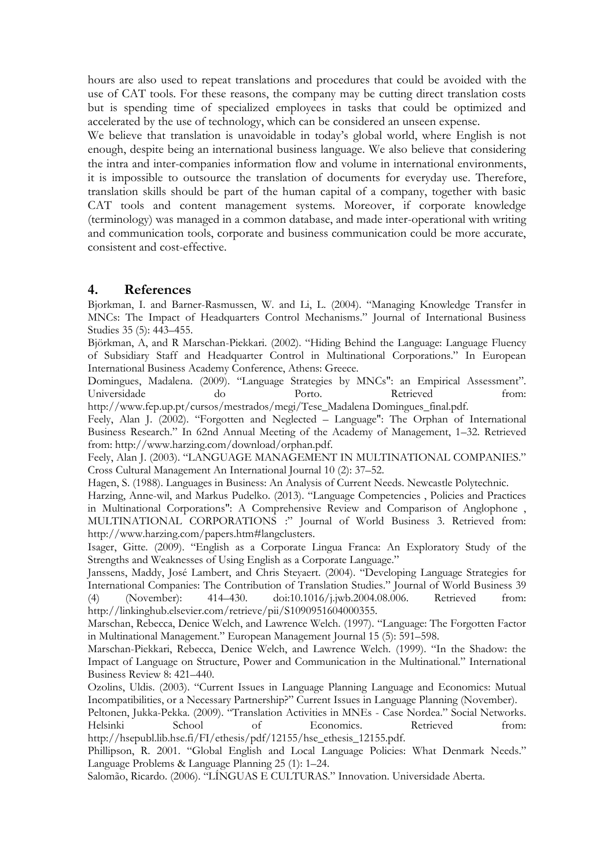hours are also used to repeat translations and procedures that could be avoided with the use of CAT tools. For these reasons, the company may be cutting direct translation costs but is spending time of specialized employees in tasks that could be optimized and accelerated by the use of technology, which can be considered an unseen expense.

We believe that translation is unavoidable in today's global world, where English is not enough, despite being an international business language. We also believe that considering the intra and inter-companies information flow and volume in international environments, it is impossible to outsource the translation of documents for everyday use. Therefore, translation skills should be part of the human capital of a company, together with basic CAT tools and content management systems. Moreover, if corporate knowledge (terminology) was managed in a common database, and made inter-operational with writing and communication tools, corporate and business communication could be more accurate, consistent and cost-effective.

## **4. References**

Bjorkman, I. and Barner-Rasmussen, W. and Li, L. (2004). "Managing Knowledge Transfer in MNCs: The Impact of Headquarters Control Mechanisms." Journal of International Business Studies 35 (5): 443–455.

Björkman, A, and R Marschan-Piekkari. (2002). "Hiding Behind the Language: Language Fluency of Subsidiary Staff and Headquarter Control in Multinational Corporations." In European International Business Academy Conference, Athens: Greece.

Domingues, Madalena. (2009). "Language Strategies by MNCs": an Empirical Assessment". Universidade do Porto. Retrieved from:

http://www.fep.up.pt/cursos/mestrados/megi/Tese\_Madalena Domingues\_final.pdf.

Feely, Alan J. (2002). "Forgotten and Neglected – Language": The Orphan of International Business Research." In 62nd Annual Meeting of the Academy of Management, 1–32. Retrieved from: http://www.harzing.com/download/orphan.pdf.

Feely, Alan J. (2003). "LANGUAGE MANAGEMENT IN MULTINATIONAL COMPANIES." Cross Cultural Management An International Journal 10 (2): 37–52.

Hagen, S. (1988). Languages in Business: An Analysis of Current Needs. Newcastle Polytechnic.

Harzing, Anne-wil, and Markus Pudelko. (2013). "Language Competencies , Policies and Practices in Multinational Corporations": A Comprehensive Review and Comparison of Anglophone , MULTINATIONAL CORPORATIONS :" Journal of World Business 3. Retrieved from: http://www.harzing.com/papers.htm#langclusters.

Isager, Gitte. (2009). "English as a Corporate Lingua Franca: An Exploratory Study of the Strengths and Weaknesses of Using English as a Corporate Language."

Janssens, Maddy, José Lambert, and Chris Steyaert. (2004). "Developing Language Strategies for International Companies: The Contribution of Translation Studies." Journal of World Business 39 (4) (November): 414–430. doi:10.1016/j.jwb.2004.08.006. Retrieved from: http://linkinghub.elsevier.com/retrieve/pii/S1090951604000355.

Marschan, Rebecca, Denice Welch, and Lawrence Welch. (1997). "Language: The Forgotten Factor in Multinational Management." European Management Journal 15 (5): 591–598.

Marschan-Piekkari, Rebecca, Denice Welch, and Lawrence Welch. (1999). "In the Shadow: the Impact of Language on Structure, Power and Communication in the Multinational." International Business Review 8: 421–440.

Ozolins, Uldis. (2003). "Current Issues in Language Planning Language and Economics: Mutual Incompatibilities, or a Necessary Partnership?" Current Issues in Language Planning (November).

Peltonen, Jukka-Pekka. (2009). "Translation Activities in MNEs - Case Nordea." Social Networks. Helsinki School of Economics. Retrieved from: http://hsepubl.lib.hse.fi/FI/ethesis/pdf/12155/hse\_ethesis\_12155.pdf.

Phillipson, R. 2001. "Global English and Local Language Policies: What Denmark Needs." Language Problems & Language Planning 25 (1): 1–24.

Salomão, Ricardo. (2006). "LÍNGUAS E CULTURAS." Innovation. Universidade Aberta.